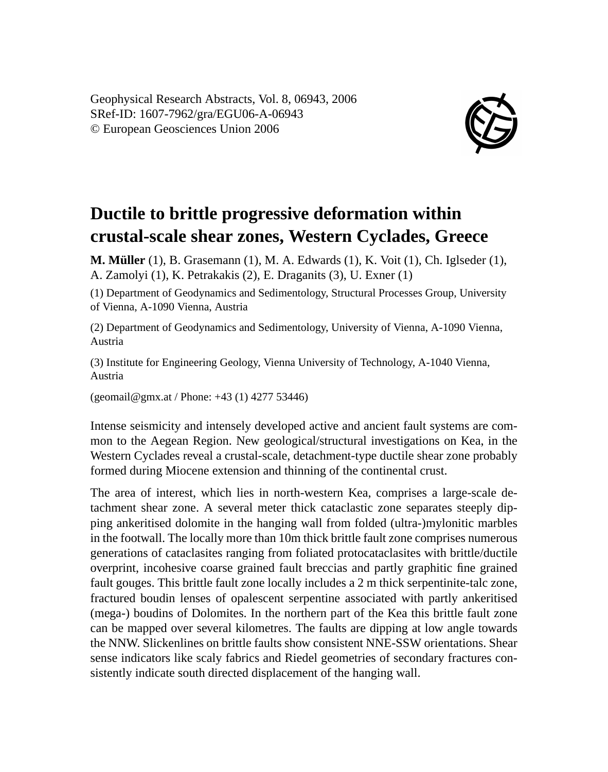Geophysical Research Abstracts, Vol. 8, 06943, 2006 SRef-ID: 1607-7962/gra/EGU06-A-06943 © European Geosciences Union 2006



## **Ductile to brittle progressive deformation within crustal-scale shear zones, Western Cyclades, Greece**

**M. Müller** (1), B. Grasemann (1), M. A. Edwards (1), K. Voit (1), Ch. Iglseder (1), A. Zamolyi (1), K. Petrakakis (2), E. Draganits (3), U. Exner (1)

(1) Department of Geodynamics and Sedimentology, Structural Processes Group, University of Vienna, A-1090 Vienna, Austria

(2) Department of Geodynamics and Sedimentology, University of Vienna, A-1090 Vienna, Austria

(3) Institute for Engineering Geology, Vienna University of Technology, A-1040 Vienna, Austria

(geomail@gmx.at / Phone: +43 (1) 4277 53446)

Intense seismicity and intensely developed active and ancient fault systems are common to the Aegean Region. New geological/structural investigations on Kea, in the Western Cyclades reveal a crustal-scale, detachment-type ductile shear zone probably formed during Miocene extension and thinning of the continental crust.

The area of interest, which lies in north-western Kea, comprises a large-scale detachment shear zone. A several meter thick cataclastic zone separates steeply dipping ankeritised dolomite in the hanging wall from folded (ultra-)mylonitic marbles in the footwall. The locally more than 10m thick brittle fault zone comprises numerous generations of cataclasites ranging from foliated protocataclasites with brittle/ductile overprint, incohesive coarse grained fault breccias and partly graphitic fine grained fault gouges. This brittle fault zone locally includes a 2 m thick serpentinite-talc zone, fractured boudin lenses of opalescent serpentine associated with partly ankeritised (mega-) boudins of Dolomites. In the northern part of the Kea this brittle fault zone can be mapped over several kilometres. The faults are dipping at low angle towards the NNW. Slickenlines on brittle faults show consistent NNE-SSW orientations. Shear sense indicators like scaly fabrics and Riedel geometries of secondary fractures consistently indicate south directed displacement of the hanging wall.